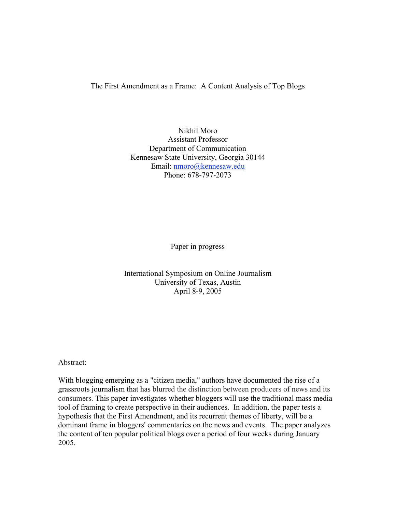The First Amendment as a Frame: A Content Analysis of Top Blogs

Nikhil Moro Assistant Professor Department of Communication Kennesaw State University, Georgia 30144 Email: nmoro@kennesaw.edu Phone: 678-797-2073

Paper in progress

International Symposium on Online Journalism University of Texas, Austin April 8-9, 2005

Abstract:

With blogging emerging as a "citizen media," authors have documented the rise of a grassroots journalism that has blurred the distinction between producers of news and its consumers. This paper investigates whether bloggers will use the traditional mass media tool of framing to create perspective in their audiences. In addition, the paper tests a hypothesis that the First Amendment, and its recurrent themes of liberty, will be a dominant frame in bloggers' commentaries on the news and events. The paper analyzes the content of ten popular political blogs over a period of four weeks during January 2005.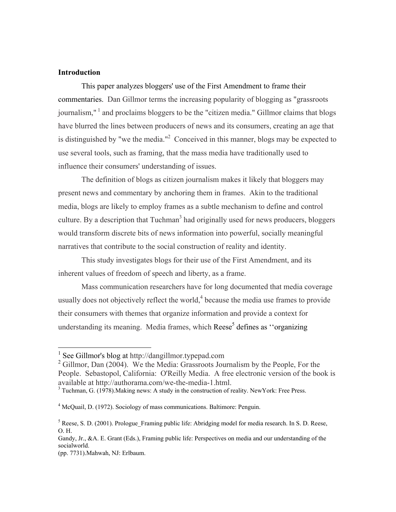# **Introduction**

This paper analyzes bloggers' use of the First Amendment to frame their commentaries. Dan Gillmor terms the increasing popularity of blogging as "grassroots journalism,"  $\frac{1}{1}$  and proclaims bloggers to be the "citizen media." Gillmor claims that blogs have blurred the lines between producers of news and its consumers, creating an age that is distinguished by "we the media."<sup>2</sup> Conceived in this manner, blogs may be expected to use several tools, such as framing, that the mass media have traditionally used to influence their consumers' understanding of issues.

The definition of blogs as citizen journalism makes it likely that bloggers may present news and commentary by anchoring them in frames. Akin to the traditional media, blogs are likely to employ frames as a subtle mechanism to define and control culture. By a description that Tuchman<sup>3</sup> had originally used for news producers, bloggers would transform discrete bits of news information into powerful, socially meaningful narratives that contribute to the social construction of reality and identity.

This study investigates blogs for their use of the First Amendment, and its inherent values of freedom of speech and liberty, as a frame.

Mass communication researchers have for long documented that media coverage usually does not objectively reflect the world, $4$  because the media use frames to provide their consumers with themes that organize information and provide a context for understanding its meaning. Media frames, which Reese<sup>5</sup> defines as "organizing

 <sup>1</sup> See Gillmor's blog at http://dangillmor.typepad.com

 $2$  Gillmor, Dan (2004). We the Media: Grassroots Journalism by the People, For the People. Sebastopol, California: O'Reilly Media. A free electronic version of the book is available at http://authorama.com/we-the-media-1.html.

 $3$  Tuchman, G. (1978). Making news: A study in the construction of reality. New York: Free Press.

<sup>&</sup>lt;sup>4</sup> McQuail, D. (1972). Sociology of mass communications. Baltimore: Penguin.

 $<sup>5</sup>$  Reese, S. D. (2001). Prologue\_Framing public life: Abridging model for media research. In S. D. Reese,</sup> O. H.

Gandy, Jr., &A. E. Grant (Eds.), Framing public life: Perspectives on media and our understanding of the socialworld.

<sup>(</sup>pp. 7731).Mahwah, NJ: Erlbaum.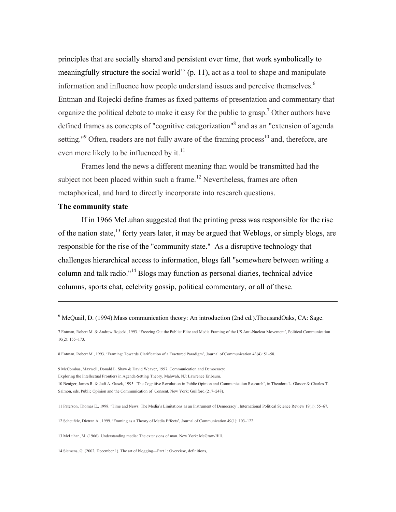principles that are socially shared and persistent over time, that work symbolically to meaningfully structure the social world'' (p. 11), act as a tool to shape and manipulate information and influence how people understand issues and perceive themselves.<sup>6</sup> Entman and Rojecki define frames as fixed patterns of presentation and commentary that organize the political debate to make it easy for the public to grasp.<sup>7</sup> Other authors have defined frames as concepts of "cognitive categorization"<sup>8</sup> and as an "extension of agenda setting."<sup>9</sup> Often, readers are not fully aware of the framing process<sup>10</sup> and, therefore, are even more likely to be influenced by it.<sup>11</sup>

Frames lend the news a different meaning than would be transmitted had the subject not been placed within such a frame.<sup>12</sup> Nevertheless, frames are often metaphorical, and hard to directly incorporate into research questions.

## The community state

 $\overline{a}$ 

If in 1966 McLuhan suggested that the printing press was responsible for the rise of the nation state,<sup>13</sup> forty years later, it may be argued that Weblogs, or simply blogs, are responsible for the rise of the "community state." As a disruptive technology that challenges hierarchical access to information, blogs fall "somewhere between writing a column and talk radio."<sup>14</sup> Blogs may function as personal diaries, technical advice columns, sports chat, celebrity gossip, political commentary, or all of these.

12 Scheufele, Dietran A., 1999. 'Framing as a Theory of Media Effects', Journal of Communication 49(1): 103–122.

13 McLuhan, M. (1966). Understanding media: The extensions of man. New York: McGraw-Hill.

14 Siemens, G. (2002, December 1). The art of blogging—Part 1: Overview, definitions,

<sup>&</sup>lt;sup>6</sup> McQuail, D. (1994). Mass communication theory: An introduction (2nd ed.). ThousandOaks, CA: Sage.

<sup>7</sup> Entman, Robert M. & Andrew Rojecki, 1993. 'Freezing Out the Public: Elite and Media Framing of the US Anti-Nuclear Movement', Political Communication 10(2): 155–173.

<sup>8</sup> Entman, Robert M., 1993. 'Framing: Towards Clarification of a Fractured Paradigm', Journal of Communication 43(4): 51–58.

<sup>9</sup> McCombas, Maxwell; Donald L. Shaw & David Weaver, 1997. Communication and Democracy: Exploring the Intellectual Frontiers in Agenda-Setting Theory. Mahwah, NJ: Lawrence Erlbaum. 10 Beniger, James R. & Jodi A. Gusek, 1995. 'The Cognitive Revolution in Public Opinion and Communication Research', in Theodore L. Glasser & Charles T. Salmon, eds, Public Opinion and the Communication of Consent. New York: Guilford (217–248).

<sup>11</sup> Paterson, Thomas E., 1998. 'Time and News: The Media's Limitations as an Instrument of Democracy', International Political Science Review 19(1): 55–67.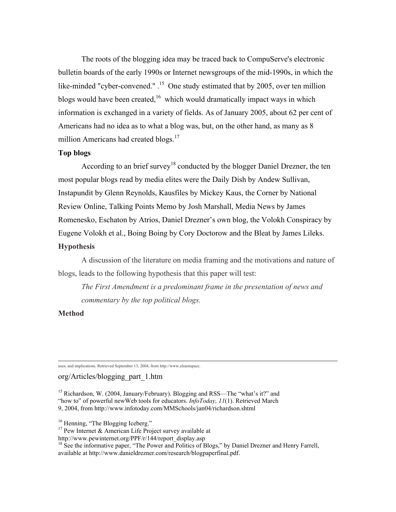The roots of the blogging idea may be traced back to CompuServe's electronic bulletin boards of the early 1990s or Internet newsgroups of the mid-1990s, in which the like-minded "cyber-convened.".<sup>15</sup> One study estimated that by 2005, over ten million blogs would have been created,<sup>16</sup> which would dramatically impact ways in which information is exchanged in a variety of fields. As of January 2005, about 62 per cent of Americans had no idea as to what a blog was, but, on the other hand, as many as 8 million Americans had created blogs.<sup>17</sup>

#### Top blogs

According to an brief survey<sup>18</sup> conducted by the blogger Daniel Drezner, the ten most popular blogs read by media elites were the Daily Dish by Andew Sullivan, Instapundit by Glenn Reynolds, Kausfiles by Mickey Kaus, the Corner by National Review Online, Talking Points Memo by Josh Marshall, Media News by James Romenesko, Eschaton by Atrios, Daniel Drezner's own blog, the Volokh Conspiracy by Eugene Volokh et al., Boing Boing by Cory Doctorow and the Bleat by James Lileks.

# **Hypothesis**

A discussion of the literature on media framing and the motivations and nature of blogs, leads to the following hypothesis that this paper will test:

*The First Amendment is a predominant frame in the presentation of news and commentary by the top political blogs.*

### Method

uses, and implications. Retrieved September 13, 2004, from http://www.elearnspace.

### org/Articles/blogging\_part\_1.htm

<sup>15</sup> Richardson, W. (2004, January/February). Blogging and RSS—The "what's it?" and "how to" of powerful newWeb tools for educators. *InfoToday, 11*(1). Retrieved March 9, 2004, from http://www.infotoday.com/MMSchools/jan04/richardson.shtml

<sup>16</sup> Henning, "The Blogging Iceberg."

<sup>17</sup> Pew Internet & American Life Project survey available at

http://www.pewinternet.org/PPF/r/144/report\_display.asp

<sup>18</sup> See the informative paper, "The Power and Politics of Blogs," by Daniel Drezner and Henry Farrell, available at http://www.danieldrezner.com/research/blogpaperfinal.pdf.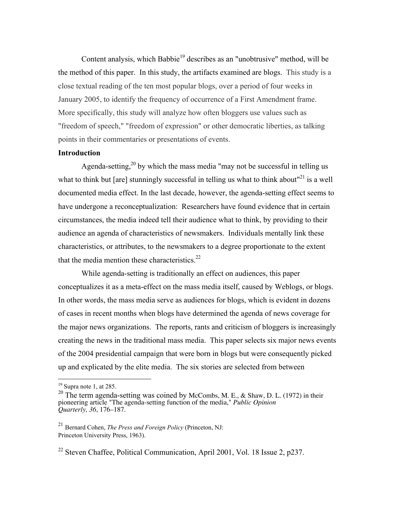Content analysis, which Babbie<sup>19</sup> describes as an "unobtrusive" method, will be the method of this paper. In this study, the artifacts examined are blogs. This study is a close textual reading of the ten most popular blogs, over a period of four weeks in January 2005, to identify the frequency of occurrence of a First Amendment frame. More specifically, this study will analyze how often bloggers use values such as "freedom of speech," "freedom of expression" or other democratic liberties, as talking points in their commentaries or presentations of events.

## Introduction

Agenda-setting,<sup>20</sup> by which the mass media "may not be successful in telling us what to think but [are] stunningly successful in telling us what to think about $121$  is a well documented media effect. In the last decade, however, the agenda-setting effect seems to have undergone a reconceptualization: Researchers have found evidence that in certain circumstances, the media indeed tell their audience what to think, by providing to their audience an agenda of characteristics of newsmakers. Individuals mentally link these characteristics, or attributes, to the newsmakers to a degree proportionate to the extent that the media mention these characteristics. $22$ 

While agenda-setting is traditionally an effect on audiences, this paper conceptualizes it as a meta-effect on the mass media itself, caused by Weblogs, or blogs. In other words, the mass media serve as audiences for blogs, which is evident in dozens of cases in recent months when blogs have determined the agenda of news coverage for the major news organizations. The reports, rants and criticism of bloggers is increasingly creating the news in the traditional mass media. This paper selects six major news events of the 2004 presidential campaign that were born in blogs but were consequently picked up and explicated by the elite media. The six stories are selected from between

 $19$  Supra note 1, at 285.

<sup>&</sup>lt;sup>20</sup> The term agenda-setting was coined by McCombs, M. E., & Shaw, D. L. (1972) in their pioneering article "The agenda-setting function of the media," *Public Opinion Quarterly, 36*, 176–187.

<sup>21</sup> Bernard Cohen, *The Press and Foreign Policy* (Princeton, NJ: Princeton University Press, 1963).

<sup>&</sup>lt;sup>22</sup> Steven Chaffee, Political Communication, April 2001, Vol. 18 Issue 2, p237.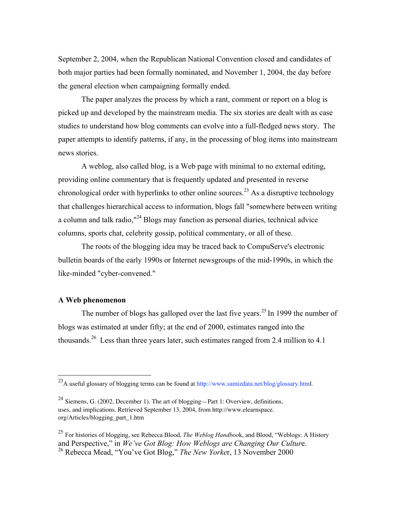September 2, 2004, when the Republican National Convention closed and candidates of both major parties had been formally nominated, and November 1, 2004, the day before the general election when campaigning formally ended.

The paper analyzes the process by which a rant, comment or report on a blog is picked up and developed by the mainstream media. The six stories are dealt with as case studies to understand how blog comments can evolve into a full-fledged news story. The paper attempts to identify patterns, if any, in the processing of blog items into mainstream news stories.

A weblog, also called blog, is a Web page with minimal to no external editing, providing online commentary that is frequently updated and presented in reverse chronological order with hyperlinks to other online sources.<sup>23</sup> As a disruptive technology that challenges hierarchical access to information, blogs fall "somewhere between writing a column and talk radio,"<sup>24</sup> Blogs may function as personal diaries, technical advice columns, sports chat, celebrity gossip, political commentary, or all of these.

The roots of the blogging idea may be traced back to CompuServe's electronic bulletin boards of the early 1990s or Internet newsgroups of the mid-1990s, in which the like-minded "cyber-convened."

## A Web phenomenon

The number of blogs has galloped over the last five years.<sup>25</sup> In 1999 the number of blogs was estimated at under fifty; at the end of 2000, estimates ranged into the thousands.<sup>26</sup> Less than three years later, such estimates ranged from 2.4 million to 4.1

<sup>&</sup>lt;sup>23</sup> A useful glossary of blogging terms can be found at http://www.samizdata.net/blog/glossary.html.

<sup>24</sup> Siemens, G. (2002, December 1). The art of blogging—Part 1: Overview, definitions, uses, and implications. Retrieved September 13, 2004, from http://www.elearnspace. org/Articles/blogging\_part\_1.htm

<sup>25</sup> For histories of blogging, see Rebecca Blood, *The Weblog Handboo*k, and Blood, "Weblogs: A History and Perspective," in *We've Got Blog: How Weblogs are Changing Our Cultur*e. 26 Rebecca Mead, "You've Got Blog," *The New Yorke*r, 13 November 2000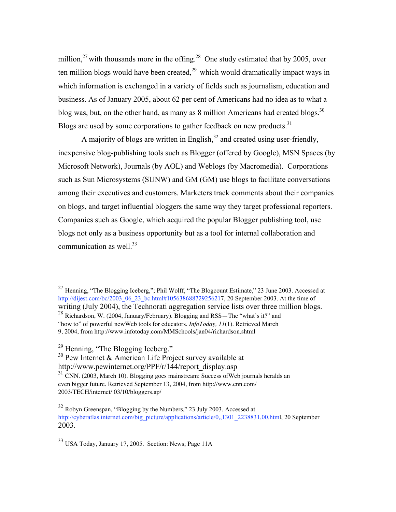million,<sup>27</sup> with thousands more in the offing.<sup>28</sup> One study estimated that by 2005, over ten million blogs would have been created, $^{29}$  which would dramatically impact ways in which information is exchanged in a variety of fields such as journalism, education and business. As of January 2005, about 62 per cent of Americans had no idea as to what a blog was, but, on the other hand, as many as 8 million Americans had created blogs.<sup>30</sup> Blogs are used by some corporations to gather feedback on new products. $31$ 

A majority of blogs are written in English, $^{32}$  and created using user-friendly, inexpensive blog-publishing tools such as Blogger (offered by Google), MSN Spaces (by Microsoft Network), Journals (by AOL) and Weblogs (by Macromedia). Corporations such as Sun Microsystems (SUNW) and GM (GM) use blogs to facilitate conversations among their executives and customers. Marketers track comments about their companies on blogs, and target influential bloggers the same way they target professional reporters. Companies such as Google, which acquired the popular Blogger publishing tool, use blogs not only as a business opportunity but as a tool for internal collaboration and communication as well. $^{33}$ 

- <sup>30</sup> Pew Internet & American Life Project survey available at
- http://www.pewinternet.org/PPF/r/144/report\_display.asp

 $33$  USA Today, January 17, 2005. Section: News; Page 11A

 <sup>27</sup> Henning, "The Blogging Iceberg,"; Phil Wolff, "The Blogcount Estimate," 23 June 2003. Accessed at http://dijest.com/bc/2003\_06\_23\_bc.html#105638688729256217, 20 September 2003. At the time of writing (July 2004), the Technorati aggregation service lists over three million blogs. <sup>28</sup> Richardson, W. (2004, January/February). Blogging and RSS—The "what's it?" and

<sup>&</sup>quot;how to" of powerful newWeb tools for educators. *InfoToday, 11*(1). Retrieved March 9, 2004, from http://www.infotoday.com/MMSchools/jan04/richardson.shtml

<sup>&</sup>lt;sup>29</sup> Henning, "The Blogging Iceberg."

<sup>31</sup> CNN. (2003, March 10). Blogging goes mainstream: Success ofWeb journals heralds an even bigger future. Retrieved September 13, 2004, from http://www.cnn.com/ 2003/TECH/internet/ 03/10/bloggers.ap/

 $32$  Robyn Greenspan, "Blogging by the Numbers," 23 July 2003. Accessed at http://cyberatlas.internet.com/big\_picture/applications/article/0,,1301\_2238831,00.html, 20 September 2003.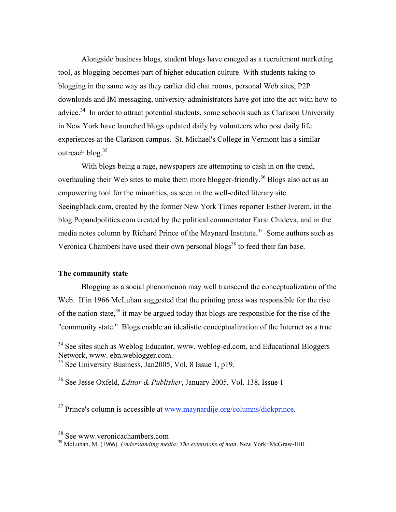Alongside business blogs, student blogs have emeged as a recruitment marketing tool, as blogging becomes part of higher education culture. With students taking to blogging in the same way as they earlier did chat rooms, personal Web sites, P2P downloads and IM messaging, university administrators have got into the act with how-to advice.<sup>34</sup> In order to attract potential students, some schools such as Clarkson University in New York have launched blogs updated daily by volunteers who post daily life experiences at the Clarkson campus. St. Michael's College in Vermont has a similar outreach blog. $35$ 

With blogs being a rage, newspapers are attempting to cash in on the trend, overhauling their Web sites to make them more blogger-friendly.<sup>36</sup> Blogs also act as an empowering tool for the minorities, as seen in the well-edited literary site Seeingblack.com, created by the former New York Times reporter Esther Iverem, in the blog Popandpolitics.com created by the political commentator Farai Chideva, and in the media notes column by Richard Prince of the Maynard Institute.<sup>37</sup> Some authors such as Veronica Chambers have used their own personal blogs<sup>38</sup> to feed their fan base.

#### The community state

Blogging as a social phenomenon may well transcend the conceptualization of the Web. If in 1966 McLuhan suggested that the printing press was responsible for the rise of the nation state,<sup>39</sup> it may be argued today that blogs are responsible for the rise of the "community state." Blogs enable an idealistic conceptualization of the Internet as a true

36 See Jesse Oxfeld, *Editor & Publisher*, January 2005, Vol. 138, Issue 1

<sup>37</sup> Prince's column is accessible at www.maynardije.org/columns/dickprince.

<sup>&</sup>lt;sup>34</sup> See sites such as Weblog Educator, www. weblog-ed.com, and Educational Bloggers Network, www. ebn.weblogger.com.

<sup>35</sup> See University Business, Jan2005, Vol. 8 Issue 1, p19.

 $\frac{38}{39}$  See www.veronicachambers.com

McLuhan, M. (1966). *Understanding media: The extensions of man*. New York: McGraw-Hill.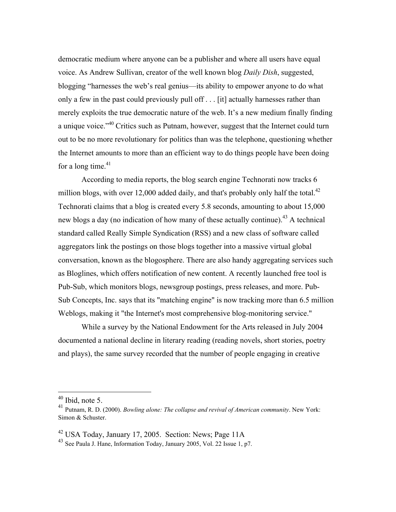democratic medium where anyone can be a publisher and where all users have equal voice. As Andrew Sullivan, creator of the well known blog *Daily Dish*, suggested, blogging "harnesses the web's real genius—its ability to empower anyone to do what only a few in the past could previously pull off . . . [it] actually harnesses rather than merely exploits the true democratic nature of the web. It's a new medium finally finding a unique voice."<sup>40</sup> Critics such as Putnam, however, suggest that the Internet could turn out to be no more revolutionary for politics than was the telephone, questioning whether the Internet amounts to more than an efficient way to do things people have been doing for a long time.<sup>41</sup>

According to media reports, the blog search engine Technorati now tracks 6 million blogs, with over 12,000 added daily, and that's probably only half the total. $^{42}$ Technorati claims that a blog is created every 5.8 seconds, amounting to about 15,000 new blogs a day (no indication of how many of these actually continue).<sup>43</sup> A technical standard called Really Simple Syndication (RSS) and a new class of software called aggregators link the postings on those blogs together into a massive virtual global conversation, known as the blogosphere. There are also handy aggregating services such as Bloglines, which offers notification of new content. A recently launched free tool is Pub-Sub, which monitors blogs, newsgroup postings, press releases, and more. Pub-Sub Concepts, Inc. says that its "matching engine" is now tracking more than 6.5 million Weblogs, making it "the Internet's most comprehensive blog-monitoring service."

While a survey by the National Endowment for the Arts released in July 2004 documented a national decline in literary reading (reading novels, short stories, poetry and plays), the same survey recorded that the number of people engaging in creative

 $40$  Ibid, note 5.

<sup>41</sup> Putnam, R. D. (2000). *Bowling alone: The collapse and revival of American community*. New York: Simon & Schuster.

<sup>&</sup>lt;sup>42</sup> USA Today, January 17, 2005. Section: News; Page 11A

<sup>43</sup> See Paula J. Hane, Information Today, January 2005, Vol. 22 Issue 1, p7.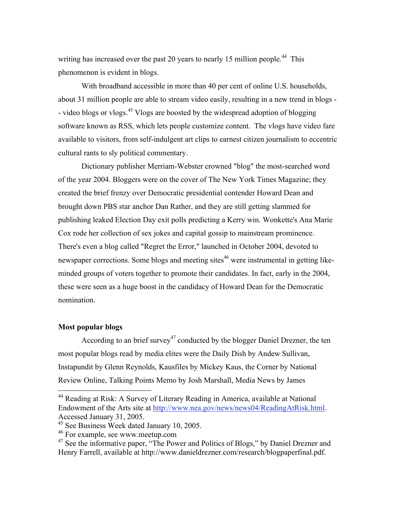writing has increased over the past 20 years to nearly 15 million people.<sup>44</sup> This phenomenon is evident in blogs.

With broadband accessible in more than 40 per cent of online U.S. households, about 31 million people are able to stream video easily, resulting in a new trend in blogs - - video blogs or vlogs.<sup>45</sup> Vlogs are boosted by the widespread adoption of blogging software known as RSS, which lets people customize content. The vlogs have video fare available to visitors, from self-indulgent art clips to earnest citizen journalism to eccentric cultural rants to sly political commentary.

Dictionary publisher Merriam-Webster crowned "blog" the most-searched word of the year 2004. Bloggers were on the cover of The New York Times Magazine; they created the brief frenzy over Democratic presidential contender Howard Dean and brought down PBS star anchor Dan Rather, and they are still getting slammed for publishing leaked Election Day exit polls predicting a Kerry win. Wonkette's Ana Marie Cox rode her collection of sex jokes and capital gossip to mainstream prominence. There's even a blog called "Regret the Error," launched in October 2004, devoted to newspaper corrections. Some blogs and meeting sites<sup>46</sup> were instrumental in getting likeminded groups of voters together to promote their candidates. In fact, early in the 2004, these were seen as a huge boost in the candidacy of Howard Dean for the Democratic nomination.

## Most popular blogs

According to an brief survey<sup>47</sup> conducted by the blogger Daniel Drezner, the ten most popular blogs read by media elites were the Daily Dish by Andew Sullivan, Instapundit by Glenn Reynolds, Kausfiles by Mickey Kaus, the Corner by National Review Online, Talking Points Memo by Josh Marshall, Media News by James

 <sup>44</sup> Reading at Risk: A Survey of Literary Reading in America, available at National Endowment of the Arts site at http://www.nea.gov/news/news04/ReadingAtRisk.html. Accessed January 31, 2005.

<sup>&</sup>lt;sup>45</sup> See Business Week dated January 10, 2005.

<sup>46</sup> For example, see www.meetup.com

<sup>&</sup>lt;sup>47</sup> See the informative paper, "The Power and Politics of Blogs," by Daniel Drezner and Henry Farrell, available at http://www.danieldrezner.com/research/blogpaperfinal.pdf.